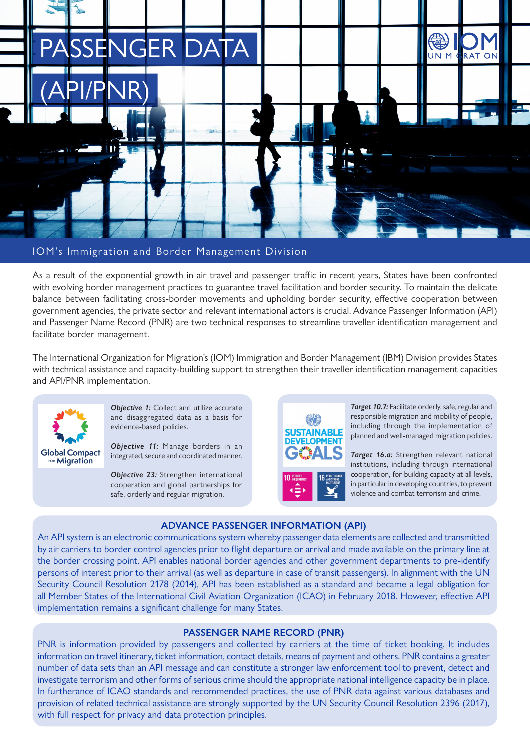

#### IOM's Immigration and Border Management Division

As a result of the exponential growth in air travel and passenger traffic in recent years, States have been confronted with evolving border management practices to guarantee travel facilitation and border security. To maintain the delicate balance between facilitating cross-border movements and upholding border security, effective cooperation between government agencies, the private sector and relevant international actors is crucial. Advance Passenger Information (API) and Passenger Name Record (PNR) are two technical responses to streamline traveller identification management and facilitate border management.

The International Organization for Migration's (IOM) Immigration and Border Management (IBM) Division provides States with technical assistance and capacity-building support to strengthen their traveller identification management capacities and API/PNR implementation.



**Objective 1:** Collect and utilize accurate and disaggregated data as a basis for evidence-based policies.

*Objective 11:* Manage borders in an integrated, secure and coordinated manner.

*Objective 23:* Strengthen international cooperation and global partnerships for safe, orderly and regular migration.



**Target 10.7:** Facilitate orderly, safe, regular and responsible migration and mobility of people, including through the implementation of planned and well-managed migration policies.

*Target 16.a:* Strengthen relevant national institutions, including through international cooperation, for building capacity at all levels, in particular in developing countries, to prevent violence and combat terrorism and crime.

#### **ADVANCE PASSENGER INFORMATION (API)**

An API system is an electronic communications system whereby passenger data elements are collected and transmitted by air carriers to border control agencies prior to flight departure or arrival and made available on the primary line at the border crossing point. API enables national border agencies and other government departments to pre-identify persons of interest prior to their arrival (as well as departure in case of transit passengers). In alignment with the UN Security Council Resolution 2178 (2014), API has been established as a standard and became a legal obligation for all Member States of the International Civil Aviation Organization (ICAO) in February 2018. However, effective API implementation remains a significant challenge for many States.

#### **PASSENGER NAME RECORD (PNR)**

PNR is information provided by passengers and collected by carriers at the time of ticket booking. It includes information on travel itinerary, ticket information, contact details, means of payment and others. PNR contains a greater number of data sets than an API message and can constitute a stronger law enforcement tool to prevent, detect and investigate terrorism and other forms of serious crime should the appropriate national intelligence capacity be in place. In furtherance of ICAO standards and recommended practices, the use of PNR data against various databases and provision of related technical assistance are strongly supported by the UN Security Council Resolution 2396 (2017), with full respect for privacy and data protection principles.